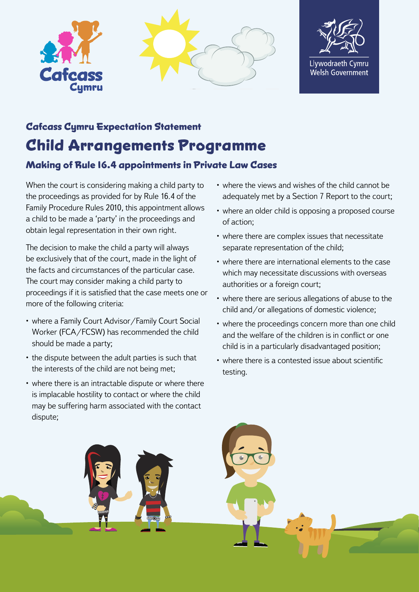





## **Cafcass Cymru Expectation Statement Child Arrangements Programme**

## **Making of Rule 16.4 appointments in Private Law Cases**

When the court is considering making a child party to the proceedings as provided for by Rule 16.4 of the Family Procedure Rules 2010, this appointment allows a child to be made a 'party' in the proceedings and obtain legal representation in their own right.

The decision to make the child a party will always be exclusively that of the court, made in the light of the facts and circumstances of the particular case. The court may consider making a child party to proceedings if it is satisfied that the case meets one or more of the following criteria:

- where a Family Court Advisor/Family Court Social Worker (FCA/FCSW) has recommended the child should be made a party;
- the dispute between the adult parties is such that the interests of the child are not being met;
- where there is an intractable dispute or where there is implacable hostility to contact or where the child may be suffering harm associated with the contact dispute;
- where the views and wishes of the child cannot be adequately met by a Section 7 Report to the court;
- where an older child is opposing a proposed course of action;
- where there are complex issues that necessitate separate representation of the child;
- where there are international elements to the case which may necessitate discussions with overseas authorities or a foreign court;
- where there are serious allegations of abuse to the child and/or allegations of domestic violence;
- where the proceedings concern more than one child and the welfare of the children is in conflict or one child is in a particularly disadvantaged position;
- where there is a contested issue about scientific testing.